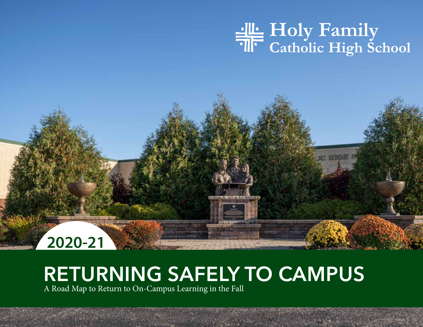# **PLANNING FOR SEXUALITY**<br> **PLANNING FOR OUR RETURN PLANNING CAMPUS**



# **RETURNING SAFELY TO CAMPUS**

1 1

A Road Map to Return to On-Campus Learning in the Fall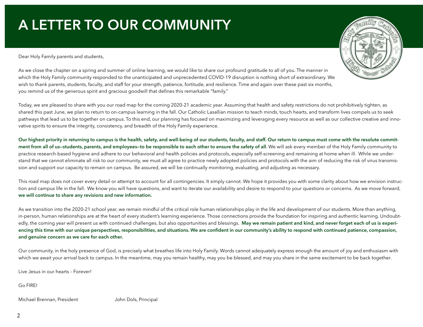# **A LETTER TO OUR COMMUNITY**

was<br>Dear Holy Family parents and students,



As we close the chapter on a spring and summer of online learning, we would like to share our profound gratitude to all of you. The manner in which the Holy Family community responded to the unanticipated and unprecedented COVID-19 disruption is nothing short of extraordinary. We wish to thank parents, students, faculty, and staff for your strength, patience, fortitude, and resilience. Time and again over these past six months, you remind us of the generous spirit and gracious goodwill that defines this remarkable "family."

Today, we are pleased to share with you our road map for the coming 2020-21 academic year. Assuming that health and safety restrictions do not prohibitively tighten, as shared this past June, we plan to return to on-campus learning in the fall. Our Catholic Lasallian mission to teach minds, touch hearts, and transform lives compels us to seek pathways that lead us to be together on campus. To this end, our planning has focused on maximizing and leveraging every resource as well as our collective creative and innovative spirits to ensure the integrity, consistency, and breadth of the Holy Family experience.

**Our highest priority in returning to campus is the health, safety, and well-being of our students, faculty, and staff. Our return to campus must come with the resolute commit**ment from all of us-students, parents, and employees-to be responsible to each other to ensure the safety of all. We will ask every member of the Holy Family community to practice research-based hygiene and adhere to our behavioral and health policies and protocols, especially self-screening and remaining at home when ill. While we understand that we cannot eliminate all risk to our community, we must all agree to practice newly adopted policies and protocols with the aim of reducing the risk of virus transmission and support our capacity to remain on campus. Be assured, we will be continually monitoring, evaluating, and adjusting as necessary.

This road map does not cover every detail or attempt to account for all contingencies. It simply cannot. We hope it provides you with some clarity about how we envision instruction and campus life in the fall. We know you will have questions, and want to iterate our availability and desire to respond to your questions or concerns. As we move forward, **we will continue to share any revisions and new information.** 

As we transition into the 2020-21 school year, we remain mindful of the critical role human relationships play in the life and development of our students. More than anything, in-person, human relationships are at the heart of every student's learning experience. Those connections provide the foundation for inspiring and authentic learning. Undoubtedly, the coming year will present us with continued challenges, but also opportunities and blessings. May we remain patient and kind, and never forget each of us is experi**encing this time with our unique perspectives, responsibilities, and situations. We are confident in our community's ability to respond with continued patience, compassion, and genuine concern as we care for each other.**

Our community, in the holy presence of God, is precisely what breathes life into Holy Family. Words cannot adequately express enough the amount of joy and enthusiasm with which we await your arrival back to campus. In the meantime, may you remain healthy, may you be blessed, and may you share in the same excitement to be back together.

Live Jesus in our hearts – Forever!

Go FIRE!

Michael Brennan, President **John Dols, Principal**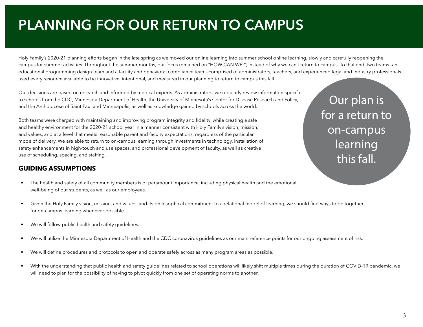# **PLANNING FOR OUR RETURN TO CAMPUS**

Holy Family's 2020-21 planning efforts began in the late spring as we moved our online learning into summer school online learning, slowly and carefully reopening the campus for summer activities. Throughout the summer months, our focus remained on "HOW CAN WE?", instead of why we can't return to campus. To that end, two teams—an educational programming design team and a facility and behavioral compliance team—comprised of administrators, teachers, and experienced legal and industry professionals used every resource available to be innovative, intentional, and measured in our planning to return to campus this fall.

Our decisions are based on research and informed by medical experts. As administrators, we regularly review information specific to schools from the CDC, Minnesota Department of Health, the University of Minnesota's Center for Disease Research and Policy, and the Archdiocese of Saint Paul and Minneapolis, as well as knowledge gained by schools across the world.

Both teams were charged with maintaining and improving program integrity and fidelity, while creating a safe and healthy environment for the 2020-21 school year in a manner consistent with Holy Family's vision, mission, and values, and at a level that meets reasonable parent and faculty expectations, regardless of the particular mode of delivery. We are able to return to on-campus learning through investments in technology, installation of safety enhancements in high-touch and use spaces, and professional development of faculty, as well as creative use of scheduling, spacing, and staffing.

# **GUIDING ASSUMPTIONS**

- The health and safety of all community members is of paramount importance, including physical health and the emotional well-being of our students, as well as our employees.
	- Given the Holy Family vision, mission, and values, and its philosophical commitment to a relational model of learning, we should find ways to be together for on-campus learning whenever possible.
	- We will follow public health and safety guidelines.
	- We will utilize the Minnesota Department of Health and the CDC coronavirus guidelines as our main reference points for our ongoing assessment of risk.
	- We will define procedures and protocols to open and operate safely across as many program areas as possible.
	- With the understanding that public health and safety guidelines related to school operations will likely shift multiple times during the duration of COVID-19 pandemic, we will need to plan for the possibility of having to pivot quickly from one set of operating norms to another.

Our plan is for a return to on-campus learning this fall.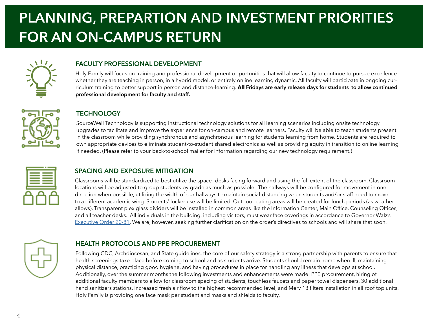# **PLANNING, PREPARTION AND INVESTMENT PRIORITIES FOR AN ON-CAMPUS RETURN**



### **FACULTY PROFESSIONAL DEVELOPMENT**

Holy Family will focus on training and professional development opportunities that will allow faculty to continue to pursue excellence whether they are teaching in person, in a hybrid model, or entirely online learning dynamic. All faculty will participate in ongoing curriculum training to better support in person and distance-learning. **All Fridays are early release days for students to allow continued professional development for faculty and staff.**

### **TECHNOLOGY**

SourceWell Technology is supporting instructional technology solutions for all learning scenarios including onsite technology upgrades to facilitate and improve the experience for on-campus and remote learners. Faculty will be able to teach students present in the classroom while providing synchronous and asynchronous learning for students learning from home. Students are required to own appropriate devices to eliminate student-to-student shared electronics as well as providing equity in transition to online learning if needed. (Please refer to your back-to-school mailer for information regarding our new technology requirement.)



# **SPACING AND EXPOSURE MITIGATION**

Classrooms will be standardized to best utilize the space—desks facing forward and using the full extent of the classroom. Classroom locations will be adjusted to group students by grade as much as possible. The hallways will be configured for movement in one direction when possible, utilizing the width of our hallways to maintain social-distancing when students and/or staff need to move to a different academic wing. Students' locker use will be limited. Outdoor eating areas will be created for lunch periods (as weather allows). Transparent plexiglass dividers will be installed in common areas like the Information Center, Main Office, Counseling Offices, and all teacher desks. All individuals in the building, including visitors, must wear face coverings in accordance to Governor Walz's [Executive Order 20-81](https://www.leg.state.mn.us/archive/execorders/20-81.pdf). We are, however, seeking further clarification on the order's directives to schools and will share that soon.



# **HEALTH PROTOCOLS AND PPE PROCUREMENT**

Following CDC, Archdiocesan, and State guidelines, the core of our safety strategy is a strong partnership with parents to ensure that health screenings take place before coming to school and as students arrive. Students should remain home when ill, maintaining physical distance, practicing good hygiene, and having procedures in place for handling any illness that develops at school. Additionally, over the summer months the following investments and enhancements were made: PPE procurement, hiring of additional faculty members to allow for classroom spacing of students, touchless faucets and paper towel dispensers, 30 additional hand sanitizers stations, increased fresh air flow to the highest recommended level, and Merv 13 filters installation in all roof top units. Holy Family is providing one face mask per student and masks and shields to faculty.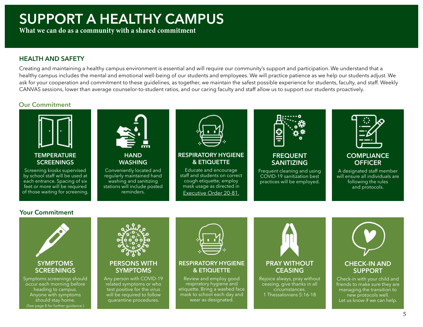# **SUPPORT A HEALTHY CAMPUS**

**PLANNING FOR OUR RETURN TO A SHANNING FOR OUR RETURN TO A PLANNING TO A PLANNING TO A PLANNING TO A PLANNING TO A PLANNING TO A PLANNING TO A PLANNING TO A PLANNING TO A PLANNING TO A PLANNING TO A PLANNING TO A PLANNING** 

# **HEALTH AND SAFETY**

Creating and maintaining a healthy campus environment is essential and will require our community's support and participation. We understand that a healthy campus includes the mental and emotional well-being of our students and employees. We will practice patience as we help our students adjust. We ask for your cooperation and commitment to these guidelines, as together, we maintain the safest possible experience for students, faculty, and staff. Weekly CANVAS sessions, lower than average counselor-to-student ratios, and our caring faculty and staff allow us to support our students proactively.

# **Our Commitment**



Screening kiosks supervised by school staff will be used at each entrance. Spacing of six feet or more will be required of those waiting for screening.



**HAND WASHING**

Conveniently located and regularly maintained hand washing and sanitizing stations will include posted reminders.



### **RESPIRATORY HYGIENE & ETIQUETTE**

Educate and encourage staff and students on correct cough etiquette; employ mask usage as directed in [Executive Order 20-81](https://mn.gov/governor/assets/EO%2020-81%20Final%20Filed_tcm1055-441323.pdf).



### **FREQUENT SANITIZING**

Frequent cleaning and using COVID-19 sanitization best practices will be employed.



# **COMPLIANCE OFFICER**

A designated staff member will ensure all individuals are following the rules and protocols.

# **Your Commitment**

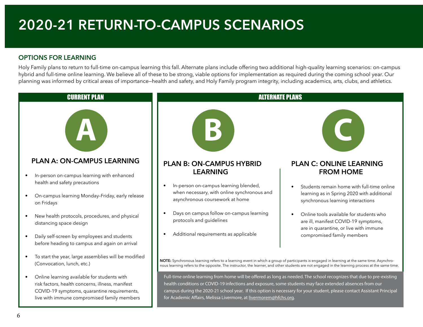# **2020-21 RETURN-TO-CAMPUS SCENARIOS**

# **OPTIONS FOR LEARNING**

Holy Family plans to return to full-time on-campus learning this fall. Alternate plans include offering two additional high-quality learning scenarios: on-campus hybrid and full-time online learning. We believe all of these to be strong, viable options for implementation as required during the coming school year. Our planning was informed by critical areas of importance—health and safety, and Holy Family program integrity, including academics, arts, clubs, and athletics.

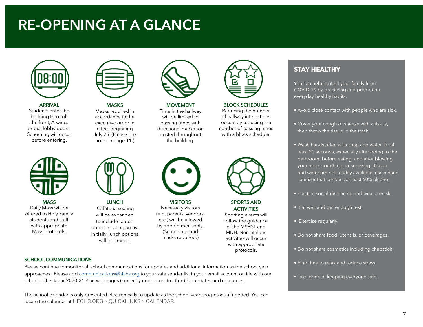# **RE-OPENING AT A GLANCE**



**ARRIVAL** Students enter the building through the front, A-wing, or bus lobby doors. Screening will occur before entering.



**MASS** Daily Mass will be offered to Holy Family students and staff with appropriate Mass protocols.



**MASKS** Masks required in accordance to the executive order in effect beginning July 25. (Please see

note on page 11.)



**LUNCH** Cafeteria seating will be expanded to include tented outdoor eating areas. Initially, lunch options will be limited.



**MOVEMENT** Time in the hallway will be limited to passing times with directional markation posted throughout

the building.

**VISITORS** Necessary visitors (e.g. parents, vendors, etc.) will be allowed by appointment only. (Screenings and masks required.)



**BLOCK SCHEDULES** 

Reducing the number of hallway interactions occurs by reducing the number of passing times with a block schedule.



**SPORTS AND ACTIVITIES**

Sporting events will follow the guidance of the MSHSL and MDH. Non-athletic activities will occur with appropriate protocols.



You can help protect your family from COVID-19 by practicing and promoting everyday healthy habits.

- Avoid close contact with people who are sick.
- Cover your cough or sneeze with a tissue, then throw the tissue in the trash.
- Wash hands often with soap and water for at least 20 seconds, especially after going to the bathroom; before eating; and after blowing your nose, coughing, or sneezing. If soap and water are not readily available, use a hand sanitizer that contains at least 60% alcohol.
- Practice social-distancing and wear a mask.
- Eat well and get enough rest.
- Exercise regularly.
- Do not share food, utensils, or beverages.
- Do not share cosmetics including chapstick.
- Find time to relax and reduce stress.
- Take pride in keeping everyone safe.

#### **SCHOOL COMMUNICATIONS**

Please continue to monitor all school communications for updates and additional information as the school year approaches. Please add [communications@hfchs.org](mailto:communications@hfchs.org) to your safe sender list in your email account on file with our school. Check our 2020-21 Plan webpages (currently under construction) for updates and resources.

The school calendar is only presented electronically to update as the school year progresses, if needed. You can locate the calendar at HFCHS.ORG > QUICKLINKS > CALENDAR.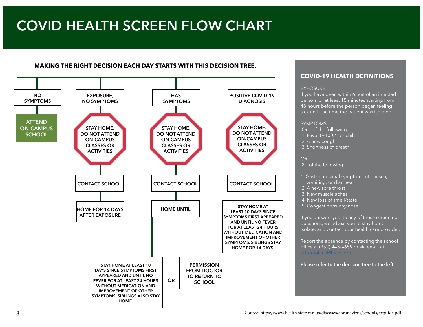# **COVID HEALTH SCREEN FLOW CHART**

### **MAKING THE RIGHT DECISION EACH DAY STARTS WITH THIS DECISION TREE.**



### **COVID-19 HEALTH DEFINITIONS**

#### EXPOSURE:

If you have been within 6 feet of an infected person for at least 15 minutes starting from 48 hours before the person began feeling sick until the time the patient was isolated.

#### SYMPTOMS:

 One of the following: 1. Fever (+100.4) or chills 2. A new cough 3. Shortness of breath

2+ of the following:

- 1. Gastrointestinal symptoms of nausea, vomiting, or diarrhea
- 2. A new sore throat
- 3. New muscle aches
- 4. New loss of smell/taste
- 5. Congestion/runny nose

If you answer "yes" to any of these screening questions, we advise you to stay home, isolate, and contact your health care provider.

Report the absence by contacting the school office at (952) 443-4659 or via email at [schooloffice@hfchs.org](http://schooloffice@hfchs.org).

**Please refer to the decision tree to the left.**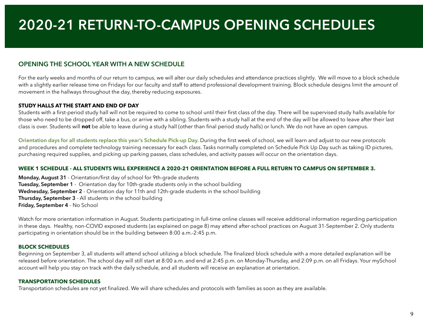# **2020-21 RETURN-TO-CAMPUS OPENING SCHEDULES**

# **OPENING THE SCHOOL YEAR WITH A NEW SCHEDULE**

For the early weeks and months of our return to campus, we will alter our daily schedules and attendance practices slightly. We will move to a block schedule with a slightly earlier release time on Fridays for our faculty and staff to attend professional development training. Block schedule designs limit the amount of movement in the hallways throughout the day, thereby reducing exposures.

### **STUDY HALLS AT THE START AND END OF DAY**

Students with a first-period study hall will not be required to come to school until their first class of the day. There will be supervised study halls available for those who need to be dropped off, take a bus, or arrive with a sibling. Students with a study hall at the end of the day will be allowed to leave after their last class is over. Students will **not** be able to leave during a study hall (other than final period study halls) or lunch. We do not have an open campus.

**Orientation days for all students replace this year's Schedule Pick-up Day.** During the first week of school, we will learn and adjust to our new protocols and procedures and complete technology training necessary for each class. Tasks normally completed on Schedule Pick Up Day such as taking ID pictures, purchasing required supplies, and picking up parking passes, class schedules, and activity passes will occur on the orientation days.

### **WEEK 1 SCHEDULE - ALL STUDENTS WILL EXPERIENCE A 2020-21 ORIENTATION BEFORE A FULL RETURN TO CAMPUS ON SEPTEMBER 3.**

**Monday, August 31** - Orientation/first day of school for 9th-grade students **Tuesday, September 1** - Orientation day for 10th-grade students only in the school building **Wednesday, September 2** - Orientation day for 11th and 12th-grade students in the school building **Thursday, September 3** - All students in the school building **Friday, September 4** - No School

Watch for more orientation information in August. Students participating in full-time online classes will receive additional information regarding participation in these days. Healthy, non-COVID exposed students (as explained on page 8) may attend after-school practices on August 31-September 2. Only students participating in orientation should be in the building between 8:00 a.m.-2:45 p.m.

### **BLOCK SCHEDULES**

Beginning on September 3, all students will attend school utilizing a block schedule. The finalized block schedule with a more detailed explanation will be released before orientation. The school day will still start at 8:00 a.m. and end at 2:45 p.m. on Monday-Thursday, and 2:09 p.m. on all Fridays. Your mySchool account will help you stay on track with the daily schedule, and all students will receive an explanation at orientation.

# **TRANSPORTATION SCHEDULES**

Transportation schedules are not yet finalized. We will share schedules and protocols with families as soon as they are available.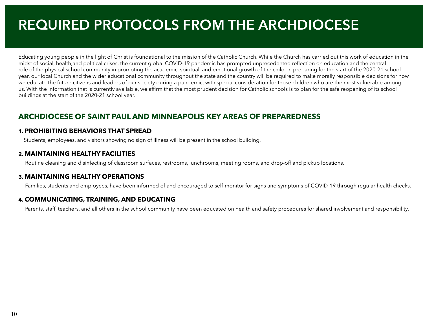# **REQUIRED PROTOCOLS FROM THE ARCHDIOCESE**

Educating young people in the light of Christ is foundational to the mission of the Catholic Church. While the Church has carried out this work of education in the midst of social, health,and political crises, the current global COVID-19 pandemic has prompted unprecedented reflection on education and the central role of the physical school community in promoting the academic, spiritual, and emotional growth of the child. In preparing for the start of the 2020-21 school year, our local Church and the wider educational community throughout the state and the country will be required to make morally responsible decisions for how we educate the future citizens and leaders of our society during a pandemic, with special consideration for those children who are the most vulnerable among us. With the information that is currently available, we affirm that the most prudent decision for Catholic schools is to plan for the safe reopening of its school buildings at the start of the 2020-21 school year.

# **ARCHDIOCESE OF SAINT PAUL AND MINNEAPOLIS KEY AREAS OF PREPAREDNESS**

### **1. PROHIBITING BEHAVIORS THAT SPREAD**

Students, employees, and visitors showing no sign of illness will be present in the school building.

### **2. MAINTAINING HEALTHY FACILITIES**

Routine cleaning and disinfecting of classroom surfaces, restrooms, lunchrooms, meeting rooms, and drop-off and pickup locations.

### **3. MAINTAINING HEALTHY OPERATIONS**

Families, students and employees, have been informed of and encouraged to self-monitor for signs and symptoms of COVID-19 through regular health checks.

# **4. COMMUNICATING, TRAINING, AND EDUCATING**

Parents, staff, teachers, and all others in the school community have been educated on health and safety procedures for shared involvement and responsibility.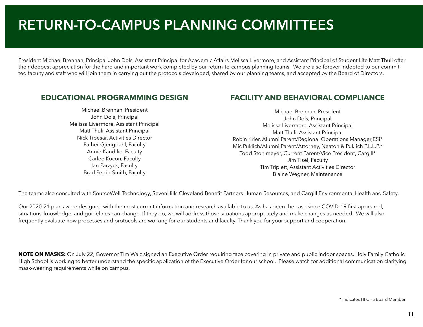# **RETURN-TO-CAMPUS PLANNING COMMITTEES**

President Michael Brennan, Principal John Dols, Assistant Principal for Academic Affairs Melissa Livermore, and Assistant Principal of Student Life Matt Thuli offer their deepest appreciation for the hard and important work completed by our return-to-campus planning teams. We are also forever indebted to our committed faculty and staff who will join them in carrying out the protocols developed, shared by our planning teams, and accepted by the Board of Directors.

# **EDUCATIONAL PROGRAMMING DESIGN**

Michael Brennan, President John Dols, Principal Melissa Livermore, Assistant Principal Matt Thuli, Assistant Principal Nick Tibesar, Activities Director Father Gjengdahl, Faculty Annie Kandiko, Faculty Carlee Kocon, Faculty Ian Parzyck, Faculty Brad Perrin-Smith, Faculty

# **FACILITY AND BEHAVIORAL COMPLIANCE**

Michael Brennan, President John Dols, Principal Melissa Livermore, Assistant Principal Matt Thuli, Assistant Principal Robin Krier, Alumni Parent/Regional Operations Manager,ESi\* Mic Puklich/Alumni Parent/Attorney, Neaton & Puklich P.L.L.P.\* Todd Stohlmeyer, Current Parent/Vice President, Cargill\* Jim Tisel, Faculty Tim Triplett, Assistant Activities Director Blaine Wegner, Maintenance

The teams also consulted with SourceWell Technology, SevenHills Cleveland Benefit Partners Human Resources, and Cargill Environmental Health and Safety.

Our 2020-21 plans were designed with the most current information and research available to us. As has been the case since COVID-19 first appeared, situations, knowledge, and guidelines can change. If they do, we will address those situations appropriately and make changes as needed. We will also frequently evaluate how processes and protocols are working for our students and faculty. Thank you for your support and cooperation.

**NOTE ON MASKS:** On July 22, Governor Tim Walz signed an Executive Order requiring face covering in private and public indoor spaces. Holy Family Catholic High School is working to better understand the specific application of the Executive Order for our school. Please watch for additional communication clarifying mask-wearing requirements while on campus.

\* indicates HFCHS Board Member